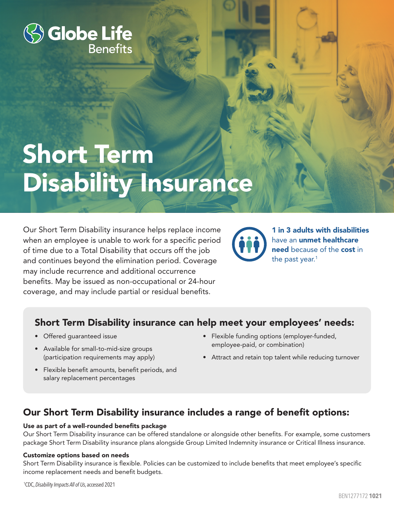

# Short Term Disability Insurance

Our Short Term Disability insurance helps replace income when an employee is unable to work for a specific period of time due to a Total Disability that occurs off the job and continues beyond the elimination period. Coverage may include recurrence and additional occurrence benefits. May be issued as non-occupational or 24-hour coverage, and may include partial or residual benefits.



1 in 3 adults with disabilities have an unmet healthcare need because of the cost in the past year.<sup>1</sup>

# Short Term Disability insurance can help meet your employees' needs:

- Offered guaranteed issue
- Available for small-to-mid-size groups (participation requirements may apply)
- Flexible benefit amounts, benefit periods, and salary replacement percentages
- Flexible funding options (employer-funded, employee-paid, or combination)
- Attract and retain top talent while reducing turnover

# Our Short Term Disability insurance includes a range of benefit options:

### Use as part of a well-rounded benefits package

Our Short Term Disability insurance can be offered standalone or alongside other benefits. For example, some customers package Short Term Disability insurance plans alongside Group Limited Indemnity insurance or Critical Illness insurance.

### Customize options based on needs

Short Term Disability insurance is flexible. Policies can be customized to include benefits that meet employee's specific income replacement needs and benefit budgets.

1 CDC, *Disability Impacts All of Us*, accessed 2021